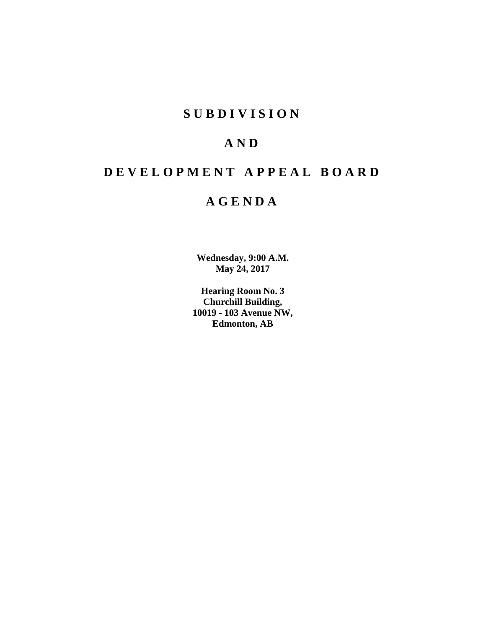## **SUBDIVISION**

## **AND**

# **DEVELOPMENT APPEAL BOARD**

## **AGENDA**

**Wednesday, 9:00 A.M. May 24, 2017**

**Hearing Room No. 3 Churchill Building, 10019 - 103 Avenue NW, Edmonton, AB**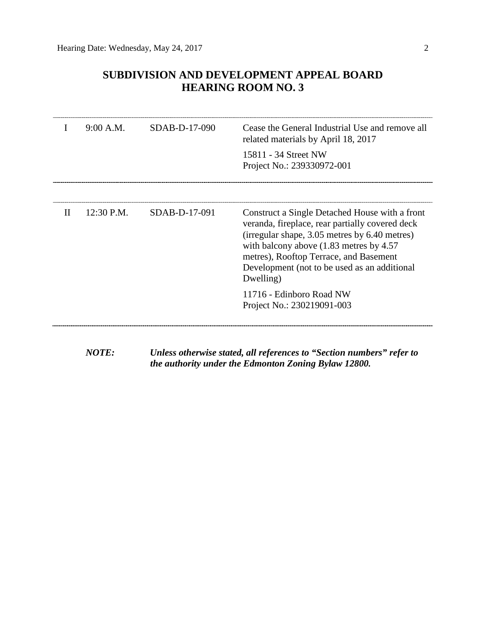## **SUBDIVISION AND DEVELOPMENT APPEAL BOARD HEARING ROOM NO. 3**

|   | 9:00 A.M.    | SDAB-D-17-090   | Cease the General Industrial Use and remove all<br>related materials by April 18, 2017                                                                                                                                                                                                                           |  |  |
|---|--------------|-----------------|------------------------------------------------------------------------------------------------------------------------------------------------------------------------------------------------------------------------------------------------------------------------------------------------------------------|--|--|
|   |              |                 | 15811 - 34 Street NW<br>Project No.: 239330972-001                                                                                                                                                                                                                                                               |  |  |
|   |              |                 |                                                                                                                                                                                                                                                                                                                  |  |  |
| H | $12:30$ P.M. | $SDAB-D-17-091$ | Construct a Single Detached House with a front<br>veranda, fireplace, rear partially covered deck<br>(irregular shape, 3.05 metres by 6.40 metres)<br>with balcony above $(1.83 \text{ metres by } 4.57)$<br>metres), Rooftop Terrace, and Basement<br>Development (not to be used as an additional<br>Dwelling) |  |  |
|   |              |                 | 11716 - Edinboro Road NW<br>Project No.: 230219091-003                                                                                                                                                                                                                                                           |  |  |
|   |              |                 |                                                                                                                                                                                                                                                                                                                  |  |  |

*NOTE: Unless otherwise stated, all references to "Section numbers" refer to the authority under the Edmonton Zoning Bylaw 12800.*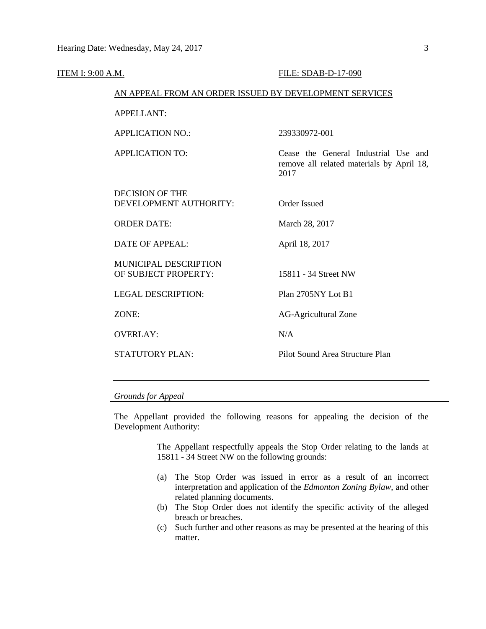| <u>ITEM I: 9:00 A.M.</u> |                                                        | FILE: SDAB-D-17-090                                                                       |  |  |
|--------------------------|--------------------------------------------------------|-------------------------------------------------------------------------------------------|--|--|
|                          | AN APPEAL FROM AN ORDER ISSUED BY DEVELOPMENT SERVICES |                                                                                           |  |  |
|                          | <b>APPELLANT:</b>                                      |                                                                                           |  |  |
|                          | <b>APPLICATION NO.:</b>                                | 239330972-001                                                                             |  |  |
|                          | <b>APPLICATION TO:</b>                                 | Cease the General Industrial Use and<br>remove all related materials by April 18,<br>2017 |  |  |
|                          | <b>DECISION OF THE</b><br>DEVELOPMENT AUTHORITY:       | <b>Order Issued</b>                                                                       |  |  |
|                          | <b>ORDER DATE:</b>                                     | March 28, 2017                                                                            |  |  |
|                          | <b>DATE OF APPEAL:</b>                                 | April 18, 2017                                                                            |  |  |
|                          | MUNICIPAL DESCRIPTION<br>OF SUBJECT PROPERTY:          | 15811 - 34 Street NW                                                                      |  |  |
|                          | <b>LEGAL DESCRIPTION:</b>                              | Plan 2705NY Lot B1                                                                        |  |  |
|                          | ZONE:                                                  | <b>AG-Agricultural Zone</b>                                                               |  |  |
|                          | <b>OVERLAY:</b>                                        | N/A                                                                                       |  |  |
|                          | <b>STATUTORY PLAN:</b>                                 | Pilot Sound Area Structure Plan                                                           |  |  |
|                          |                                                        |                                                                                           |  |  |

## *Grounds for Appeal*

The Appellant provided the following reasons for appealing the decision of the Development Authority:

> The Appellant respectfully appeals the Stop Order relating to the lands at 15811 - 34 Street NW on the following grounds:

- (a) The Stop Order was issued in error as a result of an incorrect interpretation and application of the *Edmonton Zoning Bylaw*, and other related planning documents.
- (b) The Stop Order does not identify the specific activity of the alleged breach or breaches.
- (c) Such further and other reasons as may be presented at the hearing of this matter.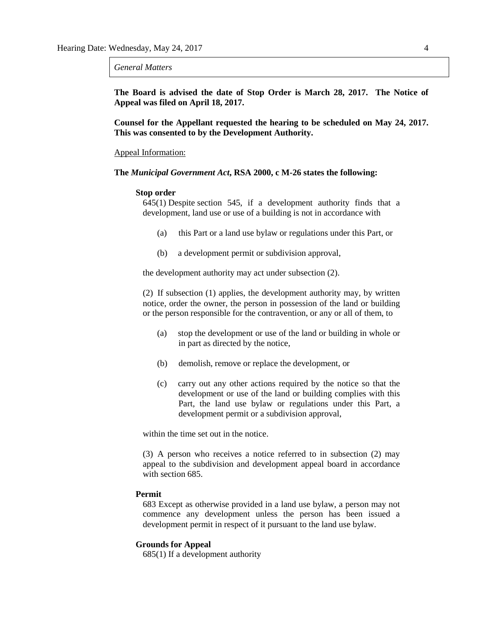*General Matters*

**The Board is advised the date of Stop Order is March 28, 2017. The Notice of Appeal was filed on April 18, 2017.** 

**Counsel for the Appellant requested the hearing to be scheduled on May 24, 2017. This was consented to by the Development Authority.** 

Appeal Information:

**The** *Municipal Government Act***, RSA 2000, c M-26 states the following:**

### **Stop order**

645(1) Despite [section 545,](https://www.canlii.org/en/ab/laws/stat/rsa-2000-c-m-26/latest/rsa-2000-c-m-26.html%23sec545_smooth) if a development authority finds that a development, land use or use of a building is not in accordance with

- (a) this Part or a land use bylaw or regulations under this Part, or
- (b) a development permit or subdivision approval,

the development authority may act under subsection (2).

(2) If subsection (1) applies, the development authority may, by written notice, order the owner, the person in possession of the land or building or the person responsible for the contravention, or any or all of them, to

- (a) stop the development or use of the land or building in whole or in part as directed by the notice,
- (b) demolish, remove or replace the development, or
- (c) carry out any other actions required by the notice so that the development or use of the land or building complies with this Part, the land use bylaw or regulations under this Part, a development permit or a subdivision approval,

within the time set out in the notice.

(3) A person who receives a notice referred to in subsection (2) may appeal to the subdivision and development appeal board in accordance with [section 685.](https://www.canlii.org/en/ab/laws/stat/rsa-2000-c-m-26/latest/rsa-2000-c-m-26.html%23sec685_smooth)

#### **Permit**

683 Except as otherwise provided in a land use bylaw, a person may not commence any development unless the person has been issued a development permit in respect of it pursuant to the land use bylaw.

#### **Grounds for Appeal**

685(1) If a development authority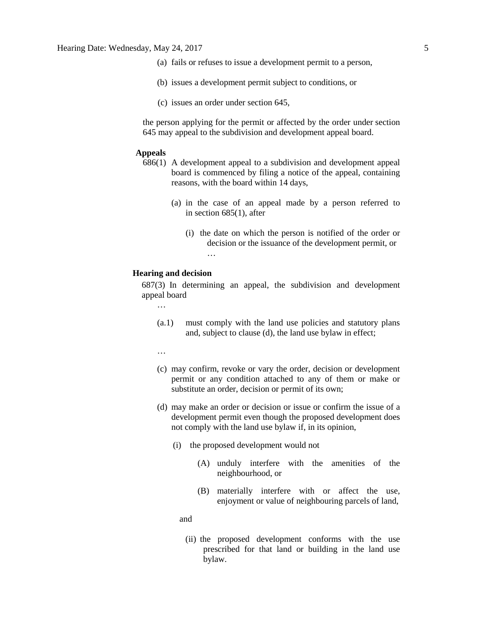- (a) fails or refuses to issue a development permit to a person,
- (b) issues a development permit subject to conditions, or
- (c) issues an order under section 645,

the person applying for the permit or affected by the order under section 645 may appeal to the subdivision and development appeal board.

#### **Appeals**

- 686(1) A development appeal to a subdivision and development appeal board is commenced by filing a notice of the appeal, containing reasons, with the board within 14 days,
	- (a) in the case of an appeal made by a person referred to in section 685(1), after
		- (i) the date on which the person is notified of the order or decision or the issuance of the development permit, or …

#### **Hearing and decision**

687(3) In determining an appeal, the subdivision and development appeal board

- …
- (a.1) must comply with the land use policies and statutory plans and, subject to clause (d), the land use bylaw in effect;
- …
- (c) may confirm, revoke or vary the order, decision or development permit or any condition attached to any of them or make or substitute an order, decision or permit of its own;
- (d) may make an order or decision or issue or confirm the issue of a development permit even though the proposed development does not comply with the land use bylaw if, in its opinion,
	- (i) the proposed development would not
		- (A) unduly interfere with the amenities of the neighbourhood, or
		- (B) materially interfere with or affect the use, enjoyment or value of neighbouring parcels of land,

and

(ii) the proposed development conforms with the use prescribed for that land or building in the land use bylaw.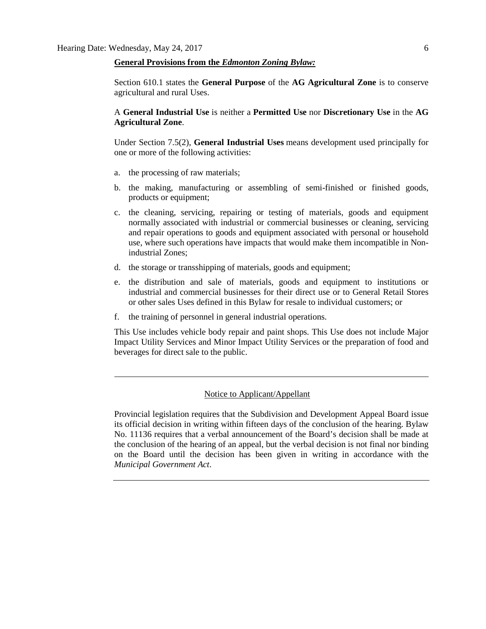#### **General Provisions from the** *Edmonton Zoning Bylaw:*

Section 610.1 states the **General Purpose** of the **AG Agricultural Zone** is to conserve agricultural and rural Uses.

### A **General Industrial Use** is neither a **Permitted Use** nor **Discretionary Use** in the **AG Agricultural Zone**.

Under Section 7.5(2), **General Industrial Uses** means development used principally for one or more of the following activities:

- a. the processing of raw materials;
- b. the making, manufacturing or assembling of semi-finished or finished goods, products or equipment;
- c. the cleaning, servicing, repairing or testing of materials, goods and equipment normally associated with industrial or commercial businesses or cleaning, servicing and repair operations to goods and equipment associated with personal or household use, where such operations have impacts that would make them incompatible in Nonindustrial Zones;
- d. the storage or transshipping of materials, goods and equipment;
- e. the distribution and sale of materials, goods and equipment to institutions or industrial and commercial businesses for their direct use or to General Retail Stores or other sales Uses defined in this Bylaw for resale to individual customers; or
- f. the training of personnel in general industrial operations.

This Use includes vehicle body repair and paint shops. This Use does not include Major Impact Utility Services and Minor Impact Utility Services or the preparation of food and beverages for direct sale to the public.

## Notice to Applicant/Appellant

Provincial legislation requires that the Subdivision and Development Appeal Board issue its official decision in writing within fifteen days of the conclusion of the hearing. Bylaw No. 11136 requires that a verbal announcement of the Board's decision shall be made at the conclusion of the hearing of an appeal, but the verbal decision is not final nor binding on the Board until the decision has been given in writing in accordance with the *Municipal Government Act*.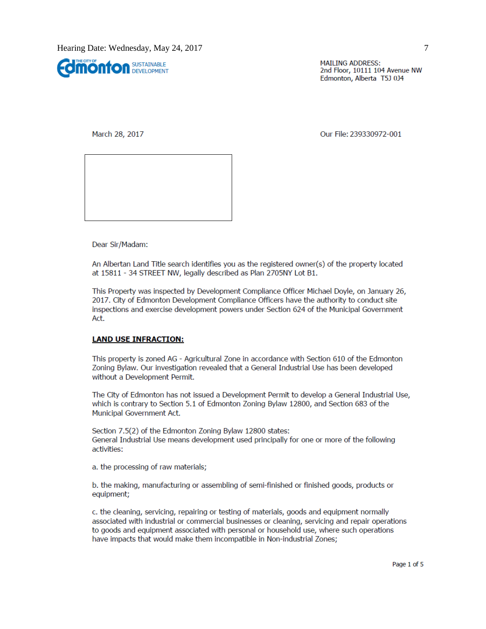

**MAILING ADDRESS:** 2nd Floor, 10111 104 Avenue NW Edmonton, Alberta T5J 0J4

March 28, 2017

Our File: 239330972-001

Dear Sir/Madam:

An Albertan Land Title search identifies you as the registered owner(s) of the property located at 15811 - 34 STREET NW, legally described as Plan 2705NY Lot B1.

This Property was inspected by Development Compliance Officer Michael Doyle, on January 26, 2017. City of Edmonton Development Compliance Officers have the authority to conduct site inspections and exercise development powers under Section 624 of the Municipal Government Act.

#### **LAND USE INFRACTION:**

This property is zoned AG - Agricultural Zone in accordance with Section 610 of the Edmonton Zoning Bylaw. Our investigation revealed that a General Industrial Use has been developed without a Development Permit.

The City of Edmonton has not issued a Development Permit to develop a General Industrial Use, which is contrary to Section 5.1 of Edmonton Zoning Bylaw 12800, and Section 683 of the Municipal Government Act.

Section 7.5(2) of the Edmonton Zoning Bylaw 12800 states: General Industrial Use means development used principally for one or more of the following activities:

a. the processing of raw materials;

b. the making, manufacturing or assembling of semi-finished or finished goods, products or equipment;

c. the cleaning, servicing, repairing or testing of materials, goods and equipment normally associated with industrial or commercial businesses or cleaning, servicing and repair operations to goods and equipment associated with personal or household use, where such operations have impacts that would make them incompatible in Non-industrial Zones;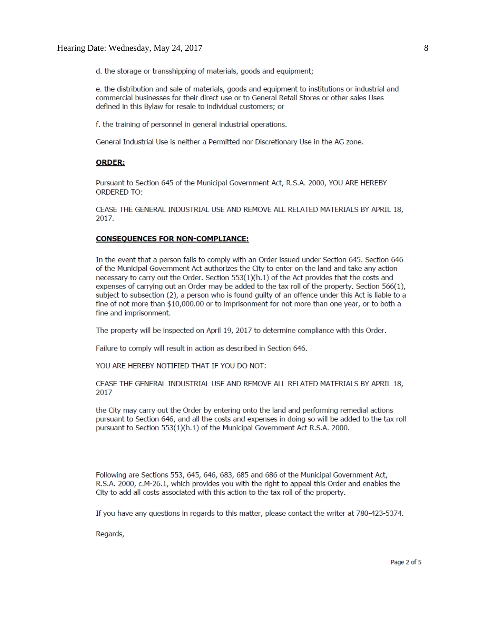d. the storage or transshipping of materials, goods and equipment:

e. the distribution and sale of materials, goods and equipment to institutions or industrial and commercial businesses for their direct use or to General Retail Stores or other sales Uses defined in this Bylaw for resale to individual customers; or

f. the training of personnel in general industrial operations.

General Industrial Use is neither a Permitted nor Discretionary Use in the AG zone.

### **ORDER:**

Pursuant to Section 645 of the Municipal Government Act, R.S.A. 2000, YOU ARE HEREBY **ORDERED TO:** 

CEASE THE GENERAL INDUSTRIAL USE AND REMOVE ALL RELATED MATERIALS BY APRIL 18, 2017.

#### **CONSEQUENCES FOR NON-COMPLIANCE:**

In the event that a person fails to comply with an Order issued under Section 645. Section 646 of the Municipal Government Act authorizes the City to enter on the land and take any action necessary to carry out the Order. Section 553(1)(h.1) of the Act provides that the costs and expenses of carrying out an Order may be added to the tax roll of the property. Section 566(1), subject to subsection (2), a person who is found guilty of an offence under this Act is liable to a fine of not more than \$10,000.00 or to imprisonment for not more than one year, or to both a fine and imprisonment.

The property will be inspected on April 19, 2017 to determine compliance with this Order.

Failure to comply will result in action as described in Section 646.

YOU ARE HEREBY NOTIFIED THAT IF YOU DO NOT:

CEASE THE GENERAL INDUSTRIAL USE AND REMOVE ALL RELATED MATERIALS BY APRIL 18, 2017

the City may carry out the Order by entering onto the land and performing remedial actions pursuant to Section 646, and all the costs and expenses in doing so will be added to the tax roll pursuant to Section 553(1)(h.1) of the Municipal Government Act R.S.A. 2000.

Following are Sections 553, 645, 646, 683, 685 and 686 of the Municipal Government Act, R.S.A. 2000, c.M-26.1, which provides you with the right to appeal this Order and enables the City to add all costs associated with this action to the tax roll of the property.

If you have any questions in regards to this matter, please contact the writer at 780-423-5374.

Regards,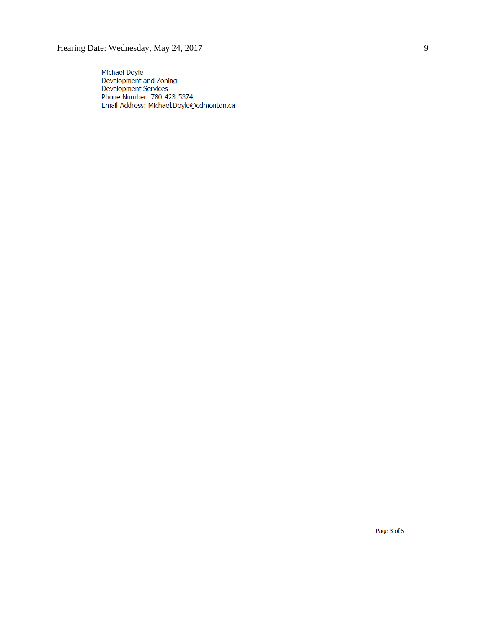Michael Doyle<br>Development and Zoning<br>Development Services<br>Phone Number: 780-423-5374 Email Address: Michael.Doyle@edmonton.ca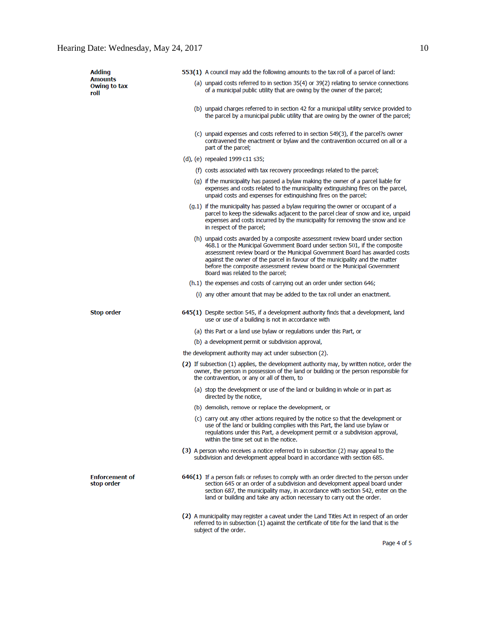| Adding                                 | 553(1) A council may add the following amounts to the tax roll of a parcel of land:                                                                                                                                                                                                                                                                                                                                                         |
|----------------------------------------|---------------------------------------------------------------------------------------------------------------------------------------------------------------------------------------------------------------------------------------------------------------------------------------------------------------------------------------------------------------------------------------------------------------------------------------------|
| <b>Amounts</b><br>Owing to tax<br>roll | (a) unpaid costs referred to in section 35(4) or 39(2) relating to service connections<br>of a municipal public utility that are owing by the owner of the parcel;                                                                                                                                                                                                                                                                          |
|                                        | (b) unpaid charges referred to in section 42 for a municipal utility service provided to<br>the parcel by a municipal public utility that are owing by the owner of the parcel;                                                                                                                                                                                                                                                             |
|                                        | (c) unpaid expenses and costs referred to in section 549(3), if the parcel?s owner<br>contravened the enactment or bylaw and the contravention occurred on all or a<br>part of the parcel;                                                                                                                                                                                                                                                  |
|                                        | (d), (e) repealed 1999 c11 s35;                                                                                                                                                                                                                                                                                                                                                                                                             |
|                                        | (f) costs associated with tax recovery proceedings related to the parcel;                                                                                                                                                                                                                                                                                                                                                                   |
|                                        | (g) if the municipality has passed a bylaw making the owner of a parcel liable for<br>expenses and costs related to the municipality extinguishing fires on the parcel,<br>unpaid costs and expenses for extinguishing fires on the parcel;                                                                                                                                                                                                 |
|                                        | $(q,1)$ if the municipality has passed a bylaw requiring the owner or occupant of a<br>parcel to keep the sidewalks adjacent to the parcel clear of snow and ice, unpaid<br>expenses and costs incurred by the municipality for removing the snow and ice<br>in respect of the parcel;                                                                                                                                                      |
|                                        | (h) unpaid costs awarded by a composite assessment review board under section<br>468.1 or the Municipal Government Board under section 501, if the composite<br>assessment review board or the Municipal Government Board has awarded costs<br>against the owner of the parcel in favour of the municipality and the matter<br>before the composite assessment review board or the Municipal Government<br>Board was related to the parcel; |
|                                        | (h.1) the expenses and costs of carrying out an order under section 646;                                                                                                                                                                                                                                                                                                                                                                    |
|                                        | (i) any other amount that may be added to the tax roll under an enactment.                                                                                                                                                                                                                                                                                                                                                                  |
| Stop order                             | 645(1) Despite section 545, if a development authority finds that a development, land<br>use or use of a building is not in accordance with                                                                                                                                                                                                                                                                                                 |
|                                        | (a) this Part or a land use bylaw or regulations under this Part, or                                                                                                                                                                                                                                                                                                                                                                        |
|                                        | (b) a development permit or subdivision approval,                                                                                                                                                                                                                                                                                                                                                                                           |
|                                        | the development authority may act under subsection (2).                                                                                                                                                                                                                                                                                                                                                                                     |
|                                        | (2) If subsection (1) applies, the development authority may, by written notice, order the<br>owner, the person in possession of the land or building or the person responsible for<br>the contravention, or any or all of them, to                                                                                                                                                                                                         |
|                                        | (a) stop the development or use of the land or building in whole or in part as<br>directed by the notice.                                                                                                                                                                                                                                                                                                                                   |
|                                        | (b) demolish, remove or replace the development, or                                                                                                                                                                                                                                                                                                                                                                                         |
|                                        | (c) carry out any other actions required by the notice so that the development or<br>use of the land or building complies with this Part, the land use bylaw or<br>requiations under this Part, a development permit or a subdivision approval,<br>within the time set out in the notice.                                                                                                                                                   |
|                                        | (3) A person who receives a notice referred to in subsection (2) may appeal to the<br>subdivision and development appeal board in accordance with section 685.                                                                                                                                                                                                                                                                              |
| <b>Enforcement of</b><br>stop order    | 646(1) If a person fails or refuses to comply with an order directed to the person under<br>section 645 or an order of a subdivision and development appeal board under<br>section 687, the municipality may, in accordance with section 542, enter on the<br>land or building and take any action necessary to carry out the order.                                                                                                        |
|                                        | (2) A municipality may register a caveat under the Land Titles Act in respect of an order<br>referred to in subsection (1) against the certificate of title for the land that is the<br>subject of the order.                                                                                                                                                                                                                               |

Page 4 of 5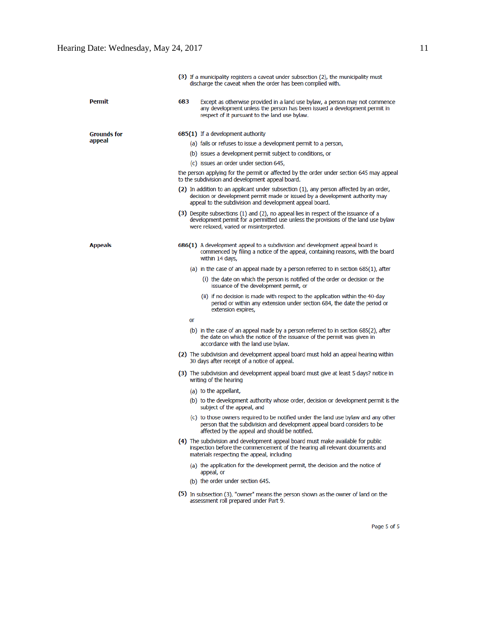|                    | discharge the caveat when the order has been complied with. |                                                                                                                                                                                                                                   |  |  |
|--------------------|-------------------------------------------------------------|-----------------------------------------------------------------------------------------------------------------------------------------------------------------------------------------------------------------------------------|--|--|
| Permit             | 683                                                         | Except as otherwise provided in a land use bylaw, a person may not commence<br>any development unless the person has been issued a development permit in<br>respect of it pursuant to the land use bylaw.                         |  |  |
| <b>Grounds for</b> |                                                             | 685(1) If a development authority                                                                                                                                                                                                 |  |  |
| appeal             |                                                             | (a) fails or refuses to issue a development permit to a person,                                                                                                                                                                   |  |  |
|                    |                                                             | (b) issues a development permit subject to conditions, or                                                                                                                                                                         |  |  |
|                    |                                                             | (c) issues an order under section 645,                                                                                                                                                                                            |  |  |
|                    |                                                             | the person applying for the permit or affected by the order under section 645 may appeal<br>to the subdivision and development appeal board.                                                                                      |  |  |
|                    |                                                             | (2) In addition to an applicant under subsection (1), any person affected by an order,<br>decision or development permit made or issued by a development authority may<br>appeal to the subdivision and development appeal board. |  |  |
|                    |                                                             | (3) Despite subsections (1) and (2), no appeal lies in respect of the issuance of a<br>development permit for a permitted use unless the provisions of the land use bylaw<br>were relaxed, varied or misinterpreted.              |  |  |
| <b>Appeals</b>     |                                                             | 686(1) A development appeal to a subdivision and development appeal board is<br>commenced by filing a notice of the appeal, containing reasons, with the board<br>within 14 days,                                                 |  |  |
|                    |                                                             | (a) in the case of an appeal made by a person referred to in section 685(1), after                                                                                                                                                |  |  |
|                    |                                                             | (i) the date on which the person is notified of the order or decision or the<br>issuance of the development permit, or                                                                                                            |  |  |
|                    |                                                             | (ii) if no decision is made with respect to the application within the 40-day<br>period or within any extension under section 684, the date the period or<br>extension expires,                                                   |  |  |
|                    | or                                                          |                                                                                                                                                                                                                                   |  |  |
|                    |                                                             | (b) in the case of an appeal made by a person referred to in section 685(2), after<br>the date on which the notice of the issuance of the permit was given in<br>accordance with the land use bylaw.                              |  |  |
|                    |                                                             | (2) The subdivision and development appeal board must hold an appeal hearing within<br>30 days after receipt of a notice of appeal.                                                                                               |  |  |
|                    |                                                             | (3) The subdivision and development appeal board must give at least 5 days? notice in<br>writing of the hearing                                                                                                                   |  |  |
|                    |                                                             | (a) to the appellant,                                                                                                                                                                                                             |  |  |
|                    |                                                             | (b) to the development authority whose order, decision or development permit is the<br>subject of the appeal, and                                                                                                                 |  |  |
|                    |                                                             | (c) to those owners required to be notified under the land use bylaw and any other<br>person that the subdivision and development appeal board considers to be<br>affected by the appeal and should be notified.                  |  |  |
|                    |                                                             | (4) The subdivision and development appeal board must make available for public<br>inspection before the commencement of the hearing all relevant documents and<br>materials respecting the appeal, including                     |  |  |
|                    |                                                             | (a) the application for the development permit, the decision and the notice of<br>appeal, or                                                                                                                                      |  |  |
|                    |                                                             | (b) the order under section 645.                                                                                                                                                                                                  |  |  |
|                    |                                                             | (5) In subsection (3), "owner" means the person shown as the owner of land on the<br>assessment roll prepared under Part 9.                                                                                                       |  |  |
|                    |                                                             |                                                                                                                                                                                                                                   |  |  |

(3) If a municipality registers a caveat under subsection (2), the municipality must

Page 5 of 5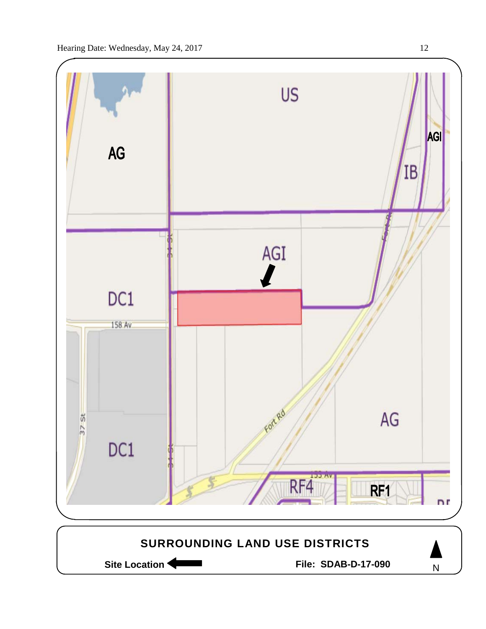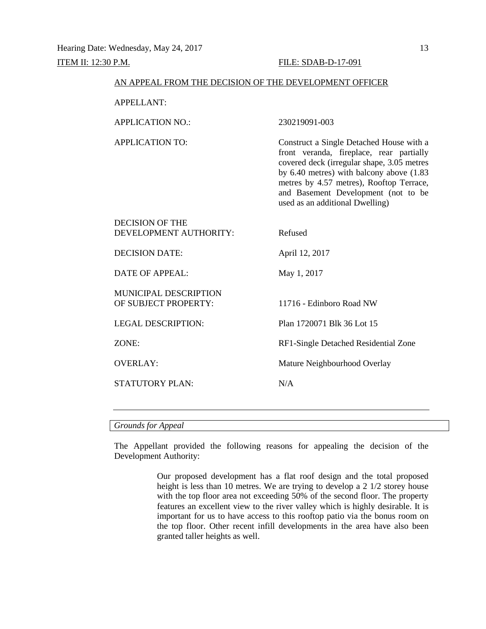#### ITEM II: 12:30 P.M. FILE: SDAB-D-17-091

#### AN APPEAL FROM THE DECISION OF THE DEVELOPMENT OFFICER

APPELLANT:

APPLICATION NO.: 230219091-003

APPLICATION TO: Construct a Single Detached House with a front veranda, fireplace, rear partially covered deck (irregular shape, 3.05 metres by 6.40 metres) with balcony above (1.83 metres by 4.57 metres), Rooftop Terrace,

used as an additional Dwelling)

and Basement Development (not to be

| DECISION OF THE<br>DEVELOPMENT AUTHORITY:            | Refused                              |
|------------------------------------------------------|--------------------------------------|
| <b>DECISION DATE:</b>                                | April 12, 2017                       |
| <b>DATE OF APPEAL:</b>                               | May 1, 2017                          |
| <b>MUNICIPAL DESCRIPTION</b><br>OF SUBJECT PROPERTY: | 11716 - Edinboro Road NW             |
| <b>LEGAL DESCRIPTION:</b>                            | Plan 1720071 Blk 36 Lot 15           |
| ZONE:                                                | RF1-Single Detached Residential Zone |
| <b>OVERLAY:</b>                                      | Mature Neighbourhood Overlay         |
| STATUTORY PLAN:                                      | N/A                                  |
|                                                      |                                      |

### *Grounds for Appeal*

The Appellant provided the following reasons for appealing the decision of the Development Authority:

> Our proposed development has a flat roof design and the total proposed height is less than 10 metres. We are trying to develop a 2 1/2 storey house with the top floor area not exceeding 50% of the second floor. The property features an excellent view to the river valley which is highly desirable. It is important for us to have access to this rooftop patio via the bonus room on the top floor. Other recent infill developments in the area have also been granted taller heights as well.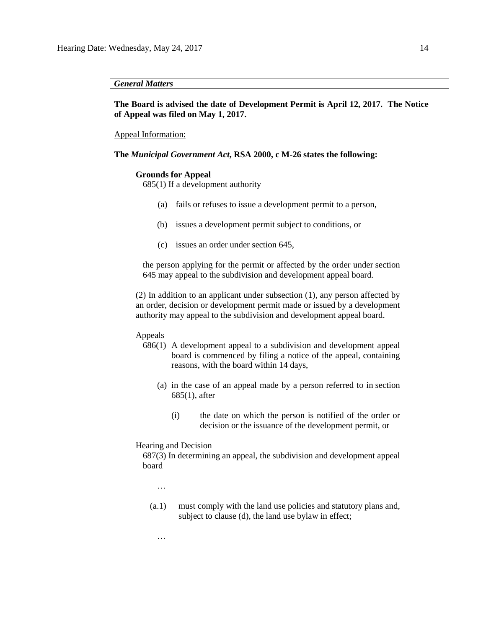**The Board is advised the date of Development Permit is April 12, 2017. The Notice of Appeal was filed on May 1, 2017.** 

Appeal Information:

**The** *Municipal Government Act***, RSA 2000, c M-26 states the following:**

## **Grounds for Appeal**

685(1) If a development authority

- (a) fails or refuses to issue a development permit to a person,
- (b) issues a development permit subject to conditions, or
- (c) issues an order under section 645,

the person applying for the permit or affected by the order under section 645 may appeal to the subdivision and development appeal board.

(2) In addition to an applicant under subsection (1), any person affected by an order, decision or development permit made or issued by a development authority may appeal to the subdivision and development appeal board.

#### Appeals

- 686(1) A development appeal to a subdivision and development appeal board is commenced by filing a notice of the appeal, containing reasons, with the board within 14 days,
	- (a) in the case of an appeal made by a person referred to in section 685(1), after
		- (i) the date on which the person is notified of the order or decision or the issuance of the development permit, or

#### Hearing and Decision

687(3) In determining an appeal, the subdivision and development appeal board

…

…

(a.1) must comply with the land use policies and statutory plans and, subject to clause (d), the land use bylaw in effect;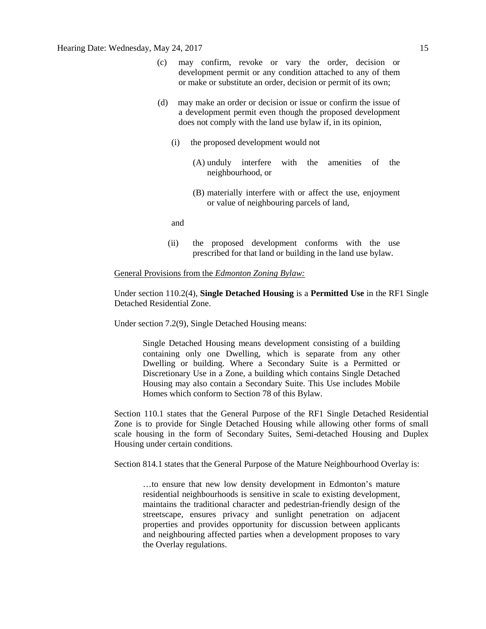- (c) may confirm, revoke or vary the order, decision or development permit or any condition attached to any of them or make or substitute an order, decision or permit of its own;
- (d) may make an order or decision or issue or confirm the issue of a development permit even though the proposed development does not comply with the land use bylaw if, in its opinion,
	- (i) the proposed development would not
		- (A) unduly interfere with the amenities of the neighbourhood, or
		- (B) materially interfere with or affect the use, enjoyment or value of neighbouring parcels of land,

and

(ii) the proposed development conforms with the use prescribed for that land or building in the land use bylaw.

#### General Provisions from the *Edmonton Zoning Bylaw:*

Under section 110.2(4), **Single Detached Housing** is a **Permitted Use** in the RF1 Single Detached Residential Zone.

Under section 7.2(9), Single Detached Housing means:

Single Detached Housing means development consisting of a building containing only one Dwelling, which is separate from any other Dwelling or building. Where a Secondary Suite is a Permitted or Discretionary Use in a Zone, a building which contains Single Detached Housing may also contain a Secondary Suite. This Use includes Mobile Homes which conform to Section 78 of this Bylaw.

Section 110.1 states that the General Purpose of the RF1 Single Detached Residential Zone is to provide for Single Detached Housing while allowing other forms of small scale housing in the form of Secondary Suites, Semi-detached Housing and Duplex Housing under certain conditions.

Section 814.1 states that the General Purpose of the Mature Neighbourhood Overlay is:

…to ensure that new low density development in Edmonton's mature residential neighbourhoods is sensitive in scale to existing development, maintains the traditional character and pedestrian-friendly design of the streetscape, ensures privacy and sunlight penetration on adjacent properties and provides opportunity for discussion between applicants and neighbouring affected parties when a development proposes to vary the Overlay regulations.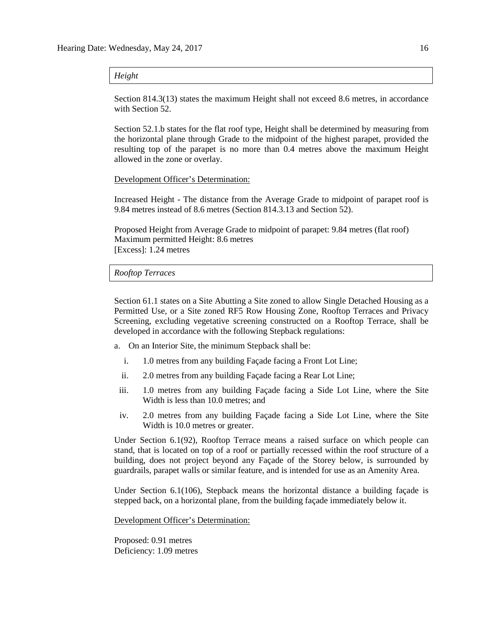*Height*

Section 814.3(13) states the maximum Height shall not exceed 8.6 metres, in accordance with Section 52.

Section 52.1.b states for the flat roof type, Height shall be determined by measuring from the horizontal plane through Grade to the midpoint of the highest parapet, provided the resulting top of the parapet is no more than 0.4 metres above the maximum Height allowed in the zone or overlay.

Development Officer's Determination:

Increased Height - The distance from the Average Grade to midpoint of parapet roof is 9.84 metres instead of 8.6 metres (Section 814.3.13 and Section 52).

Proposed Height from Average Grade to midpoint of parapet: 9.84 metres (flat roof) Maximum permitted Height: 8.6 metres [Excess]: 1.24 metres

#### *Rooftop Terraces*

Section 61.1 states on a Site Abutting a Site zoned to allow Single Detached Housing as a Permitted Use, or a Site zoned RF5 Row Housing Zone, Rooftop Terraces and Privacy Screening, excluding vegetative screening constructed on a Rooftop Terrace, shall be developed in accordance with the following Stepback regulations:

- a. On an Interior Site, the minimum Stepback shall be:
	- i. 1.0 metres from any building Façade facing a Front Lot Line;
	- ii. 2.0 metres from any building Façade facing a Rear Lot Line;
- iii. 1.0 metres from any building Façade facing a Side Lot Line, where the Site Width is less than 10.0 metres; and
- iv. 2.0 metres from any building Façade facing a Side Lot Line, where the Site Width is 10.0 metres or greater.

Under Section 6.1(92), Rooftop Terrace means a raised surface on which people can stand, that is located on top of a roof or partially recessed within the roof structure of a building, does not project beyond any Façade of the Storey below, is surrounded by guardrails, parapet walls or similar feature, and is intended for use as an Amenity Area.

Under Section 6.1(106), Stepback means the horizontal distance a building façade is stepped back, on a horizontal plane, from the building façade immediately below it.

Development Officer's Determination:

Proposed: 0.91 metres Deficiency: 1.09 metres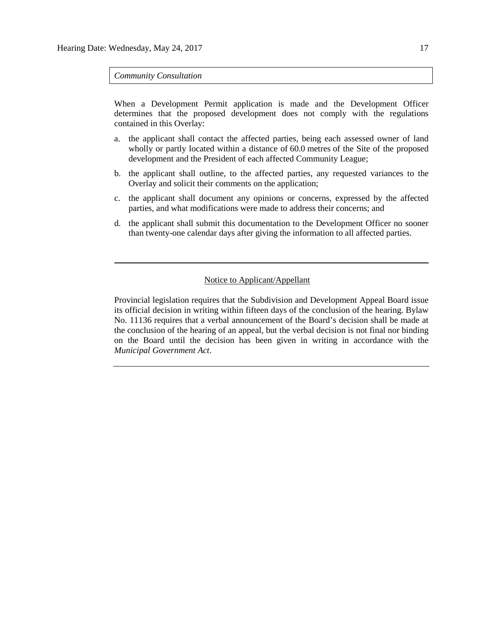*Community Consultation*

When a Development Permit application is made and the Development Officer determines that the proposed development does not comply with the regulations contained in this Overlay:

- a. the applicant shall contact the affected parties, being each assessed owner of land wholly or partly located within a distance of 60.0 metres of the Site of the proposed development and the President of each affected Community League;
- b. the applicant shall outline, to the affected parties, any requested variances to the Overlay and solicit their comments on the application;
- c. the applicant shall document any opinions or concerns, expressed by the affected parties, and what modifications were made to address their concerns; and
- d. the applicant shall submit this documentation to the Development Officer no sooner than twenty-one calendar days after giving the information to all affected parties.

## Notice to Applicant/Appellant

Provincial legislation requires that the Subdivision and Development Appeal Board issue its official decision in writing within fifteen days of the conclusion of the hearing. Bylaw No. 11136 requires that a verbal announcement of the Board's decision shall be made at the conclusion of the hearing of an appeal, but the verbal decision is not final nor binding on the Board until the decision has been given in writing in accordance with the *Municipal Government Act*.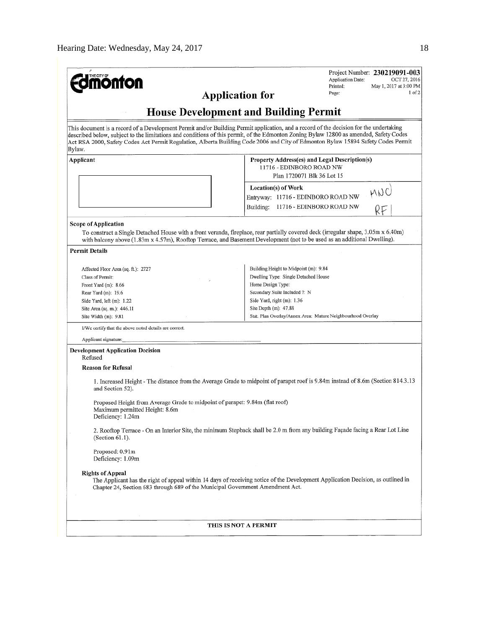| ø<br>THE CITY OF                                                                                                                                                                                                                                                                                                                                                                                                                | Project Number: 230219091-003<br>Application Date:                                                      | OCT 27, 2016                         |  |  |  |  |
|---------------------------------------------------------------------------------------------------------------------------------------------------------------------------------------------------------------------------------------------------------------------------------------------------------------------------------------------------------------------------------------------------------------------------------|---------------------------------------------------------------------------------------------------------|--------------------------------------|--|--|--|--|
| <b>ionfon</b>                                                                                                                                                                                                                                                                                                                                                                                                                   | Printed:                                                                                                | May 1, 2017 at 3:00 PM<br>$1$ of $2$ |  |  |  |  |
| <b>Application for</b>                                                                                                                                                                                                                                                                                                                                                                                                          | Page:                                                                                                   |                                      |  |  |  |  |
| <b>House Development and Building Permit</b>                                                                                                                                                                                                                                                                                                                                                                                    |                                                                                                         |                                      |  |  |  |  |
| This document is a record of a Development Permit and/or Building Permit application, and a record of the decision for the undertaking<br>described below, subject to the limitations and conditions of this permit, of the Edmonton Zoning Bylaw 12800 as amended, Safety Codes<br>Act RSA 2000, Safety Codes Act Permit Regulation, Alberta Building Code 2006 and City of Edmonton Bylaw 15894 Safety Codes Permit<br>Bylaw. |                                                                                                         |                                      |  |  |  |  |
| Applicant                                                                                                                                                                                                                                                                                                                                                                                                                       | Property Address(es) and Legal Description(s)<br>11716 - EDINBORO ROAD NW<br>Plan 1720071 Blk 36 Lot 15 |                                      |  |  |  |  |
|                                                                                                                                                                                                                                                                                                                                                                                                                                 | Location(s) of Work<br>MNC<br>RF<br>Entryway: 11716 - EDINBORO ROAD NW                                  |                                      |  |  |  |  |
|                                                                                                                                                                                                                                                                                                                                                                                                                                 | Building: 11716 - EDINBORO ROAD NW                                                                      |                                      |  |  |  |  |
| Scope of Application                                                                                                                                                                                                                                                                                                                                                                                                            |                                                                                                         |                                      |  |  |  |  |
| To construct a Single Detached House with a front veranda, fireplace, rear partially covered deck (irregular shape, 3.05m x 6.40m)<br>with balcony above (1.83m x 4.57m), Rooftop Terrace, and Basement Development (not to be used as an additional Dwelling).                                                                                                                                                                 |                                                                                                         |                                      |  |  |  |  |
| <b>Permit Details</b>                                                                                                                                                                                                                                                                                                                                                                                                           |                                                                                                         |                                      |  |  |  |  |
| Affected Floor Area (sq. ft.): 2727                                                                                                                                                                                                                                                                                                                                                                                             | Building Height to Midpoint (m): 9.84                                                                   |                                      |  |  |  |  |
| Class of Permit:                                                                                                                                                                                                                                                                                                                                                                                                                | Dwelling Type: Single Detached House                                                                    |                                      |  |  |  |  |
| Front Yard (m): 8.66                                                                                                                                                                                                                                                                                                                                                                                                            | Home Design Type:                                                                                       |                                      |  |  |  |  |
| Rear Yard (m): 19.6                                                                                                                                                                                                                                                                                                                                                                                                             | Secondary Suite Included ?: N                                                                           |                                      |  |  |  |  |
| Side Yard, left (m): 1.22                                                                                                                                                                                                                                                                                                                                                                                                       | Side Yard, right (m): 1.36                                                                              |                                      |  |  |  |  |
| Site Area (sq. m.): 446.11                                                                                                                                                                                                                                                                                                                                                                                                      | Site Depth (m): 47.88                                                                                   |                                      |  |  |  |  |
| Site Width $(m)$ : 9.81                                                                                                                                                                                                                                                                                                                                                                                                         | Stat. Plan Overlay/Annex Area: Mature Neighbourhood Overlay                                             |                                      |  |  |  |  |
| I/We certify that the above noted details are correct.                                                                                                                                                                                                                                                                                                                                                                          |                                                                                                         |                                      |  |  |  |  |
| Applicant signature:                                                                                                                                                                                                                                                                                                                                                                                                            |                                                                                                         |                                      |  |  |  |  |
| <b>Development Application Decision</b><br>Refused                                                                                                                                                                                                                                                                                                                                                                              |                                                                                                         |                                      |  |  |  |  |
| <b>Reason for Refusal</b>                                                                                                                                                                                                                                                                                                                                                                                                       |                                                                                                         |                                      |  |  |  |  |
| 1. Increased Height - The distance from the Average Grade to midpoint of parapet roof is 9.84m instead of 8.6m (Section 814.3.13<br>and Section 52).                                                                                                                                                                                                                                                                            |                                                                                                         |                                      |  |  |  |  |
| Proposed Height from Average Grade to midpoint of parapet: 9.84m (flat roof)<br>Maximum permitted Height: 8.6m<br>Deficiency: 1.24m                                                                                                                                                                                                                                                                                             |                                                                                                         |                                      |  |  |  |  |
| 2. Rooftop Terrace - On an Interior Site, the minimum Stepback shall be 2.0 m from any building Façade facing a Rear Lot Line<br>(Section $61.1$ ).                                                                                                                                                                                                                                                                             |                                                                                                         |                                      |  |  |  |  |
| Proposed: 0.91m<br>Deficiency: 1.09m                                                                                                                                                                                                                                                                                                                                                                                            |                                                                                                         |                                      |  |  |  |  |
| <b>Rights of Appeal</b><br>The Applicant has the right of appeal within 14 days of receiving notice of the Development Application Decision, as outlined in<br>Chapter 24, Section 683 through 689 of the Municipal Government Amendment Act.                                                                                                                                                                                   |                                                                                                         |                                      |  |  |  |  |
|                                                                                                                                                                                                                                                                                                                                                                                                                                 |                                                                                                         |                                      |  |  |  |  |
| THIS IS NOT A PERMIT                                                                                                                                                                                                                                                                                                                                                                                                            |                                                                                                         |                                      |  |  |  |  |
|                                                                                                                                                                                                                                                                                                                                                                                                                                 |                                                                                                         |                                      |  |  |  |  |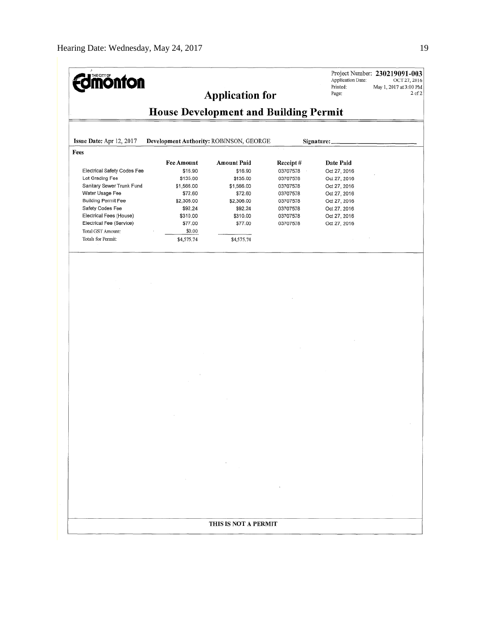| <b>monton</b>                                                                                                                                                                                                         | <b>House Development and Building Permit</b>                                                                                | <b>Application for</b>                                                                                      |                                                                                                          | Application Date:<br>Printed:<br>Page:                                                                                                    | Project Number: 230219091-003<br>OCT 27, 2016<br>May 1, 2017 at 3:00 PM<br>$2$ of $2$ |
|-----------------------------------------------------------------------------------------------------------------------------------------------------------------------------------------------------------------------|-----------------------------------------------------------------------------------------------------------------------------|-------------------------------------------------------------------------------------------------------------|----------------------------------------------------------------------------------------------------------|-------------------------------------------------------------------------------------------------------------------------------------------|---------------------------------------------------------------------------------------|
| Issue Date: Apr 12, 2017                                                                                                                                                                                              | Development Authority: ROBINSON, GEORGE                                                                                     |                                                                                                             |                                                                                                          | Signature:                                                                                                                                |                                                                                       |
| Fees                                                                                                                                                                                                                  |                                                                                                                             |                                                                                                             |                                                                                                          |                                                                                                                                           |                                                                                       |
| Electrical Safety Codes Fee<br>Lot Grading Fee<br>Sanitary Sewer Trunk Fund<br>Water Usage Fee<br>Building Permit Fee<br>Safety Codes Fee<br>Electrical Fees (House)<br>Electrical Fee (Service)<br>Total GST Amount: | <b>Fee Amount</b><br>\$16.90<br>\$135.00<br>\$1,566.00<br>\$72.60<br>\$2,306.00<br>\$92.24<br>\$310.00<br>\$77.00<br>\$0.00 | Amount Paid<br>\$16.90<br>\$135.00<br>\$1,566.00<br>\$72.60<br>\$2,306.00<br>\$92.24<br>\$310.00<br>\$77.00 | Receipt#<br>03707578<br>03707578<br>03707578<br>03707578<br>03707578<br>03707578<br>03707578<br>03707578 | Date Paid<br>Oct 27, 2016<br>Oct 27, 2016<br>Oct 27, 2016<br>Oct 27, 2016<br>Oct 27, 2016<br>Oct 27, 2016<br>Oct 27, 2016<br>Oct 27, 2016 |                                                                                       |
| Totals for Permit:                                                                                                                                                                                                    | \$4,575.74                                                                                                                  | \$4,575.74                                                                                                  |                                                                                                          |                                                                                                                                           |                                                                                       |
|                                                                                                                                                                                                                       |                                                                                                                             |                                                                                                             |                                                                                                          |                                                                                                                                           |                                                                                       |
|                                                                                                                                                                                                                       |                                                                                                                             | THIS IS NOT A PERMIT                                                                                        |                                                                                                          |                                                                                                                                           |                                                                                       |
|                                                                                                                                                                                                                       |                                                                                                                             |                                                                                                             |                                                                                                          |                                                                                                                                           |                                                                                       |